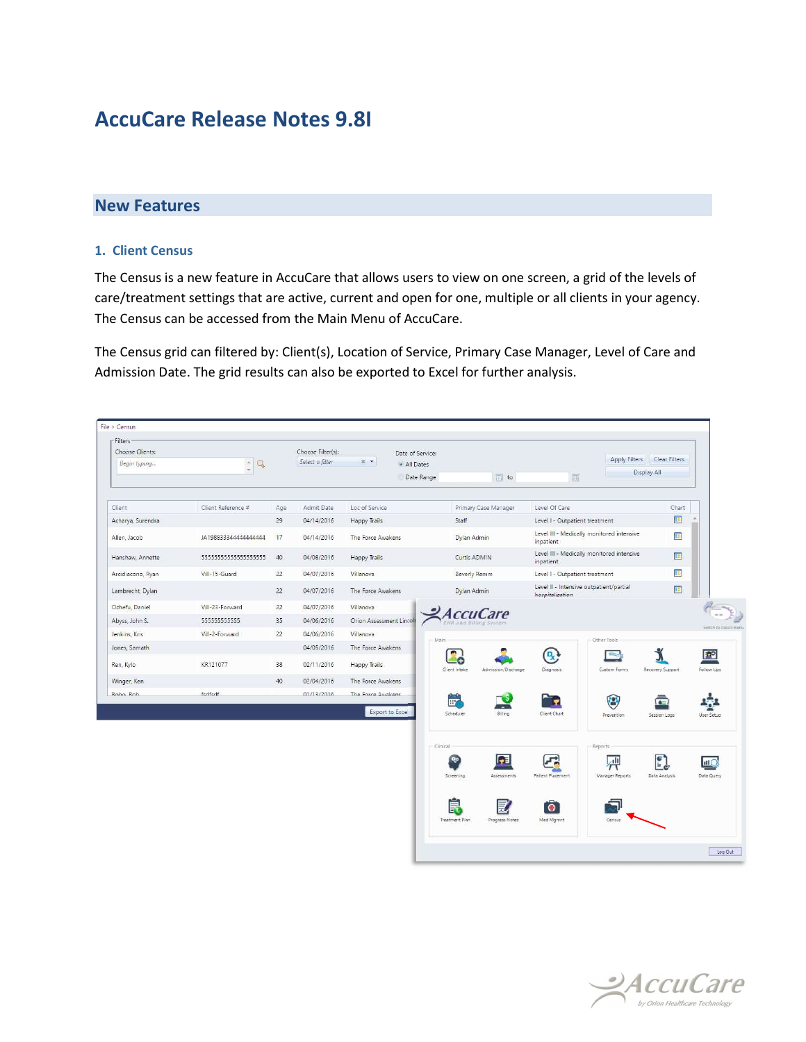## AccuCare Release Notes 9.8I

## New Features

## 1. Client Census

The Census is a new feature in AccuCare that allows users to view on one screen, a grid of the levels of care/treatment settings that are active, current and open for one, multiple or all clients in your agency. The Census can be accessed from the Main Menu of AccuCare.

The Census grid can filtered by: Client(s), Location of Service, Primary Case Manager, Level of Care and Admission Date. The grid results can also be exported to Excel for further analysis.

| · Filters<br>Choose Clients: |                           |     | Choose Filter(s): | $\times$ $\star$         | Date of Service: |                            |                      |                                                               |                        | Apply Filters Clear Filters |                      |
|------------------------------|---------------------------|-----|-------------------|--------------------------|------------------|----------------------------|----------------------|---------------------------------------------------------------|------------------------|-----------------------------|----------------------|
| Begin typing                 | $\frac{\Delta}{\pi}$<br>Q |     | Select a filter   |                          | · All Dates      |                            |                      |                                                               | Display All            |                             |                      |
|                              |                           |     |                   |                          | Date Range       | $\overline{\mathbb{H}}$ to |                      | 圃                                                             |                        |                             |                      |
|                              |                           |     |                   |                          |                  |                            |                      |                                                               |                        |                             |                      |
| Client                       | Client Reference #        | Age | Admit Date        | Loc of Service           |                  |                            | Primary Case Manager | Level Of Care                                                 |                        | Chart                       |                      |
| Acharya, Surendra            |                           | 29  | 04/14/2016        | <b>Happy Trails</b>      |                  | Staff                      |                      | Level I - Outpatient treatment                                |                        | 国                           |                      |
| Allen, Jacob                 | JA198833344444444444      | 17  | 04/14/2016        | The Force Awakens        |                  | Dylan Admin                |                      | Level III - Medically monitored intensive<br>inpatient        |                        | $\mathbb{R}$                |                      |
| Hanshaw, Annette             | 5555555555555555555555    | 40  | 04/08/2016        | Happy Trails             |                  | Curtis ADMIN               |                      | Level III - Medically monitored intensive<br><i>inpatient</i> |                        | $\overline{\mathbf{H}}$     |                      |
| Arcidiacono, Ryan            | Vill-15-Guard             | 22  | 04/07/2016        | Villanova                |                  | Beverly Remm               |                      | Level I - Outpatient treatment                                |                        | Œ                           |                      |
| Lambrecht, Dylan             |                           | 22  | 04/07/2016        | The Force Awakens        |                  | Dylan Admin                |                      | Level II - Intensive outpatient/partial<br>hospitalization    |                        | $\mathbb{E}$                |                      |
| Ochefu, Daniel               | Vill-23-Forward           | 22  | 04/07/2016        | Villanova                |                  |                            |                      |                                                               |                        |                             |                      |
| Abyss, John S.               | 55555555555               | 35  | 04/06/2016        | Orion Assessment Lincoln |                  |                            |                      |                                                               |                        |                             | patch to classic mer |
| Jenkins, Kris                | Vill-2-Forward            | 22  | 04/06/2016        | Villanova                | Main             |                            |                      |                                                               | Other Tools            |                             |                      |
| Jones, Samath                |                           |     | 04/05/2016        | The Force Awakens        |                  |                            |                      | $\mathbf{Q}$                                                  | <b>Silvers</b>         | ۰                           | <b>FO</b>            |
| Ren, Kylo                    | KR121077                  | 38  | 02/11/2016        | Happy Trails             |                  | Cient Intake               | Admission/Discharge  | Diagnosis.                                                    | Custom Forms           | Recovery Support            | Follow Ups           |
| Winger, Ken                  |                           | 40  | 02/04/2016        | The Force Awakens        |                  |                            |                      |                                                               |                        |                             |                      |
| Robo Rob                     | fedfedf                   |     | 01/13/2016        | The Force Awakens        |                  | $\frac{1}{1+\epsilon}$     |                      |                                                               | $\odot$                |                             |                      |
|                              |                           |     |                   | Export to Excel          |                  | Scheduler                  | Billing              | Client Chart                                                  | Prevention             | Session Logs                | User Setup           |
|                              |                           |     |                   |                          |                  |                            |                      |                                                               |                        |                             |                      |
|                              |                           |     |                   |                          |                  |                            |                      |                                                               |                        |                             |                      |
|                              |                           |     |                   |                          | Clinical         |                            |                      |                                                               | Reports                |                             |                      |
|                              |                           |     |                   |                          |                  |                            |                      |                                                               | $\mathbf{d}$<br>$\tau$ | $\mathbf{E}_{\mathbf{c}}$   | <b>HIC</b>           |
|                              |                           |     |                   |                          |                  | Screening                  | Assessments          | Patient Placement                                             | Manager Reports        | Data Analysis               | Data Query           |
|                              |                           |     |                   |                          |                  |                            |                      |                                                               |                        |                             |                      |
|                              |                           |     |                   |                          |                  | 裛                          |                      | $\bullet$                                                     |                        |                             |                      |
|                              |                           |     |                   |                          |                  | Treatment Plan             | Progress Notes       | Med Mgmnt                                                     | Census                 |                             |                      |



Log Out